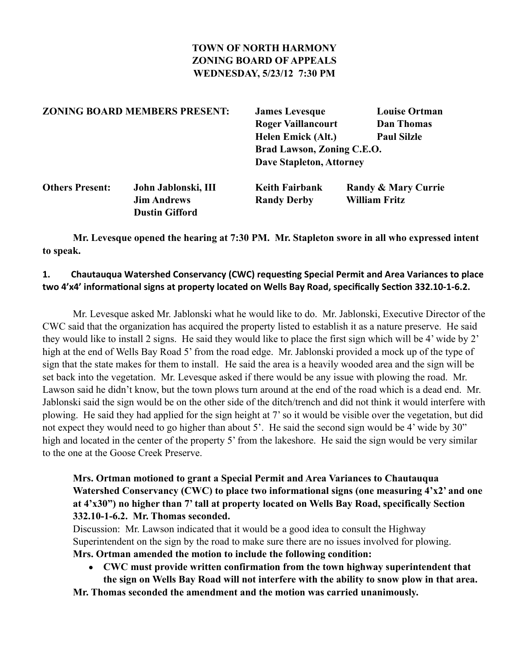## **TOWN OF NORTH HARMONY ZONING BOARD OF APPEALS WEDNESDAY, 5/23/12 7:30 PM**

| <b>ZONING BOARD MEMBERS PRESENT:</b> |                                                                    | <b>James Levesque</b><br><b>Roger Vaillancourt</b><br><b>Helen Emick (Alt.)</b> | <b>Louise Ortman</b><br><b>Dan Thomas</b><br><b>Paul Silzle</b> |
|--------------------------------------|--------------------------------------------------------------------|---------------------------------------------------------------------------------|-----------------------------------------------------------------|
|                                      |                                                                    | Brad Lawson, Zoning C.E.O.<br><b>Dave Stapleton, Attorney</b>                   |                                                                 |
| <b>Others Present:</b>               | John Jablonski, III<br><b>Jim Andrews</b><br><b>Dustin Gifford</b> | <b>Keith Fairbank</b><br><b>Randy Derby</b>                                     | <b>Randy &amp; Mary Currie</b><br><b>William Fritz</b>          |

 **Mr. Levesque opened the hearing at 7:30 PM. Mr. Stapleton swore in all who expressed intent to speak.**

### 1. Chautauqua Watershed Conservancy (CWC) requesting Special Permit and Area Variances to place two 4'x4' informational signs at property located on Wells Bay Road, specifically Section 332.10-1-6.2.

 Mr. Levesque asked Mr. Jablonski what he would like to do. Mr. Jablonski, Executive Director of the CWC said that the organization has acquired the property listed to establish it as a nature preserve. He said they would like to install 2 signs. He said they would like to place the first sign which will be 4' wide by 2' high at the end of Wells Bay Road 5' from the road edge. Mr. Jablonski provided a mock up of the type of sign that the state makes for them to install. He said the area is a heavily wooded area and the sign will be set back into the vegetation. Mr. Levesque asked if there would be any issue with plowing the road. Mr. Lawson said he didn't know, but the town plows turn around at the end of the road which is a dead end. Mr. Jablonski said the sign would be on the other side of the ditch/trench and did not think it would interfere with plowing. He said they had applied for the sign height at 7' so it would be visible over the vegetation, but did not expect they would need to go higher than about 5'. He said the second sign would be 4' wide by 30" high and located in the center of the property 5' from the lakeshore. He said the sign would be very similar to the one at the Goose Creek Preserve.

## **Mrs. Ortman motioned to grant a Special Permit and Area Variances to Chautauqua Watershed Conservancy (CWC) to place two informational signs (one measuring 4'x2' and one at 4'x30") no higher than 7' tall at property located on Wells Bay Road, specifically Section 332.10-1-6.2. Mr. Thomas seconded.**

Discussion: Mr. Lawson indicated that it would be a good idea to consult the Highway Superintendent on the sign by the road to make sure there are no issues involved for plowing. **Mrs. Ortman amended the motion to include the following condition:**

• **CWC must provide written confirmation from the town highway superintendent that the sign on Wells Bay Road will not interfere with the ability to snow plow in that area.**

**Mr. Thomas seconded the amendment and the motion was carried unanimously.**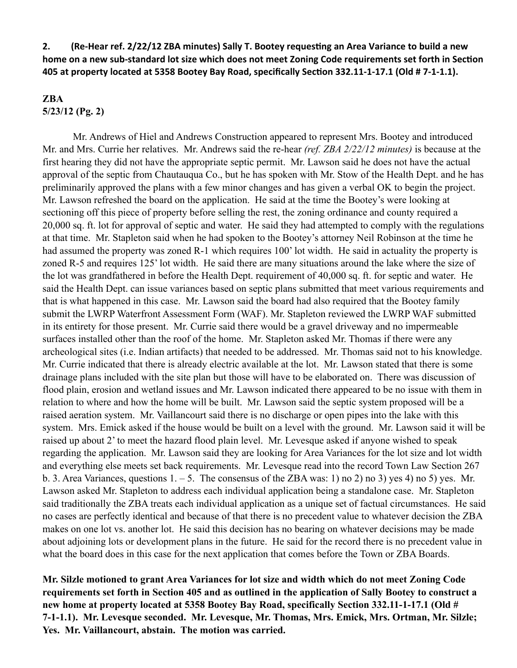**2.** (Re-Hear ref. 2/22/12 ZBA minutes) Sally T. Bootey requesting an Area Variance to build a new home on a new sub-standard lot size which does not meet Zoning Code requirements set forth in Section 405 at property located at 5358 Bootey Bay Road, specifically Section 332.11-1-17.1 (Old # 7-1-1.1).

#### **ZBA 5/23/12 (Pg. 2)**

Mr. Andrews of Hiel and Andrews Construction appeared to represent Mrs. Bootey and introduced Mr. and Mrs. Currie her relatives. Mr. Andrews said the re-hear *(ref. ZBA 2/22/12 minutes)* is because at the first hearing they did not have the appropriate septic permit. Mr. Lawson said he does not have the actual approval of the septic from Chautauqua Co., but he has spoken with Mr. Stow of the Health Dept. and he has preliminarily approved the plans with a few minor changes and has given a verbal OK to begin the project. Mr. Lawson refreshed the board on the application. He said at the time the Bootey's were looking at sectioning off this piece of property before selling the rest, the zoning ordinance and county required a 20,000 sq. ft. lot for approval of septic and water. He said they had attempted to comply with the regulations at that time. Mr. Stapleton said when he had spoken to the Bootey's attorney Neil Robinson at the time he had assumed the property was zoned R-1 which requires 100' lot width. He said in actuality the property is zoned R-5 and requires 125' lot width. He said there are many situations around the lake where the size of the lot was grandfathered in before the Health Dept. requirement of 40,000 sq. ft. for septic and water. He said the Health Dept. can issue variances based on septic plans submitted that meet various requirements and that is what happened in this case. Mr. Lawson said the board had also required that the Bootey family submit the LWRP Waterfront Assessment Form (WAF). Mr. Stapleton reviewed the LWRP WAF submitted in its entirety for those present. Mr. Currie said there would be a gravel driveway and no impermeable surfaces installed other than the roof of the home. Mr. Stapleton asked Mr. Thomas if there were any archeological sites (i.e. Indian artifacts) that needed to be addressed. Mr. Thomas said not to his knowledge. Mr. Currie indicated that there is already electric available at the lot. Mr. Lawson stated that there is some drainage plans included with the site plan but those will have to be elaborated on. There was discussion of flood plain, erosion and wetland issues and Mr. Lawson indicated there appeared to be no issue with them in relation to where and how the home will be built. Mr. Lawson said the septic system proposed will be a raised aeration system. Mr. Vaillancourt said there is no discharge or open pipes into the lake with this system. Mrs. Emick asked if the house would be built on a level with the ground. Mr. Lawson said it will be raised up about 2' to meet the hazard flood plain level. Mr. Levesque asked if anyone wished to speak regarding the application. Mr. Lawson said they are looking for Area Variances for the lot size and lot width and everything else meets set back requirements. Mr. Levesque read into the record Town Law Section 267 b. 3. Area Variances, questions  $1, -5$ . The consensus of the ZBA was: 1) no 2) no 3) yes 4) no 5) yes. Mr. Lawson asked Mr. Stapleton to address each individual application being a standalone case. Mr. Stapleton said traditionally the ZBA treats each individual application as a unique set of factual circumstances. He said no cases are perfectly identical and because of that there is no precedent value to whatever decision the ZBA makes on one lot vs. another lot. He said this decision has no bearing on whatever decisions may be made about adjoining lots or development plans in the future. He said for the record there is no precedent value in what the board does in this case for the next application that comes before the Town or ZBA Boards.

**Mr. Silzle motioned to grant Area Variances for lot size and width which do not meet Zoning Code requirements set forth in Section 405 and as outlined in the application of Sally Bootey to construct a new home at property located at 5358 Bootey Bay Road, specifically Section 332.11-1-17.1 (Old # 7-1-1.1). Mr. Levesque seconded. Mr. Levesque, Mr. Thomas, Mrs. Emick, Mrs. Ortman, Mr. Silzle; Yes. Mr. Vaillancourt, abstain. The motion was carried.**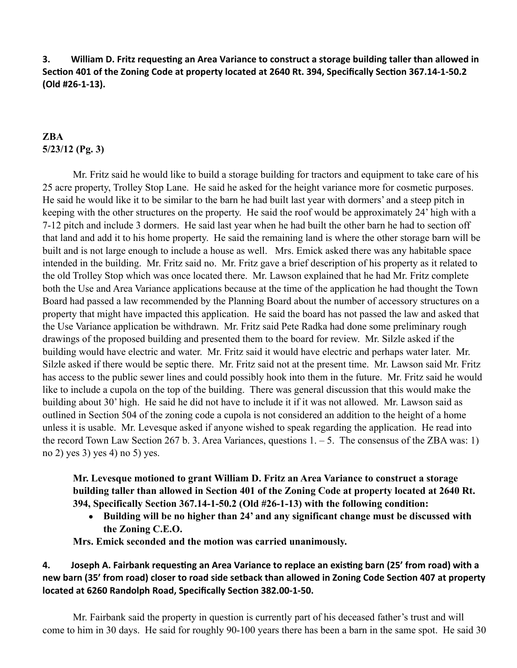**3. William D. Fritz requesting an Area Variance to construct a storage building taller than allowed in** Section 401 of the Zoning Code at property located at 2640 Rt. 394, Specifically Section 367.14-1-50.2 **(Old #26-1-13).**

# **ZBA 5/23/12 (Pg. 3)**

 Mr. Fritz said he would like to build a storage building for tractors and equipment to take care of his 25 acre property, Trolley Stop Lane. He said he asked for the height variance more for cosmetic purposes. He said he would like it to be similar to the barn he had built last year with dormers' and a steep pitch in keeping with the other structures on the property. He said the roof would be approximately 24' high with a 7-12 pitch and include 3 dormers. He said last year when he had built the other barn he had to section off that land and add it to his home property. He said the remaining land is where the other storage barn will be built and is not large enough to include a house as well. Mrs. Emick asked there was any habitable space intended in the building. Mr. Fritz said no. Mr. Fritz gave a brief description of his property as it related to the old Trolley Stop which was once located there. Mr. Lawson explained that he had Mr. Fritz complete both the Use and Area Variance applications because at the time of the application he had thought the Town Board had passed a law recommended by the Planning Board about the number of accessory structures on a property that might have impacted this application. He said the board has not passed the law and asked that the Use Variance application be withdrawn. Mr. Fritz said Pete Radka had done some preliminary rough drawings of the proposed building and presented them to the board for review. Mr. Silzle asked if the building would have electric and water. Mr. Fritz said it would have electric and perhaps water later. Mr. Silzle asked if there would be septic there. Mr. Fritz said not at the present time. Mr. Lawson said Mr. Fritz has access to the public sewer lines and could possibly hook into them in the future. Mr. Fritz said he would like to include a cupola on the top of the building. There was general discussion that this would make the building about 30' high. He said he did not have to include it if it was not allowed. Mr. Lawson said as outlined in Section 504 of the zoning code a cupola is not considered an addition to the height of a home unless it is usable. Mr. Levesque asked if anyone wished to speak regarding the application. He read into the record Town Law Section 267 b. 3. Area Variances, questions  $1. - 5$ . The consensus of the ZBA was: 1) no 2) yes 3) yes 4) no 5) yes.

**Mr. Levesque motioned to grant William D. Fritz an Area Variance to construct a storage building taller than allowed in Section 401 of the Zoning Code at property located at 2640 Rt. 394, Specifically Section 367.14-1-50.2 (Old #26-1-13) with the following condition:**

• **Building will be no higher than 24' and any significant change must be discussed with the Zoning C.E.O.**

**Mrs. Emick seconded and the motion was carried unanimously.**

**4.** Joseph A. Fairbank requesting an Area Variance to replace an existing barn (25' from road) with a new barn (35' from road) closer to road side setback than allowed in Zoning Code Section 407 at property located at 6260 Randolph Road, Specifically Section 382.00-1-50.

Mr. Fairbank said the property in question is currently part of his deceased father's trust and will come to him in 30 days. He said for roughly 90-100 years there has been a barn in the same spot. He said 30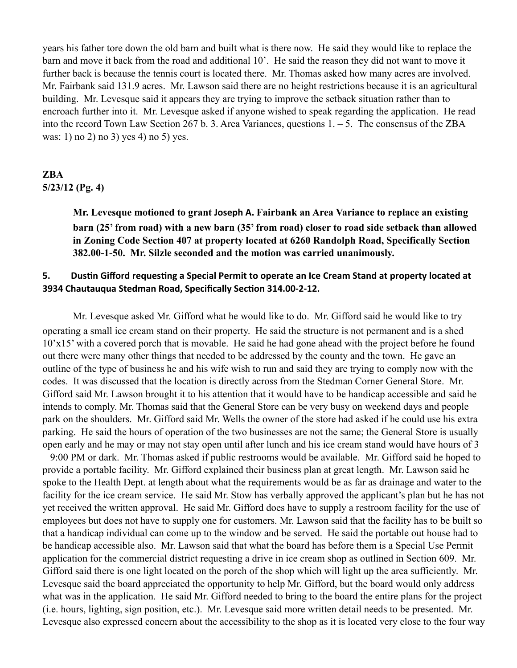years his father tore down the old barn and built what is there now. He said they would like to replace the barn and move it back from the road and additional 10'. He said the reason they did not want to move it further back is because the tennis court is located there. Mr. Thomas asked how many acres are involved. Mr. Fairbank said 131.9 acres. Mr. Lawson said there are no height restrictions because it is an agricultural building. Mr. Levesque said it appears they are trying to improve the setback situation rather than to encroach further into it. Mr. Levesque asked if anyone wished to speak regarding the application. He read into the record Town Law Section 267 b. 3. Area Variances, questions 1. – 5. The consensus of the ZBA was: 1) no 2) no 3) yes 4) no 5) yes.

# **ZBA 5/23/12 (Pg. 4)**

**Mr. Levesque motioned to grant Joseph A. Fairbank an Area Variance to replace an existing barn (25' from road) with a new barn (35' from road) closer to road side setback than allowed in Zoning Code Section 407 at property located at 6260 Randolph Road, Specifically Section 382.00-1-50. Mr. Silzle seconded and the motion was carried unanimously.**

### **5.** Dustin Gifford requesting a Special Permit to operate an Ice Cream Stand at property located at **3934 Chautauqua Stedman Road, Specifically Section 314.00-2-12.**

Mr. Levesque asked Mr. Gifford what he would like to do. Mr. Gifford said he would like to try operating a small ice cream stand on their property. He said the structure is not permanent and is a shed 10'x15' with a covered porch that is movable. He said he had gone ahead with the project before he found out there were many other things that needed to be addressed by the county and the town. He gave an outline of the type of business he and his wife wish to run and said they are trying to comply now with the codes. It was discussed that the location is directly across from the Stedman Corner General Store. Mr. Gifford said Mr. Lawson brought it to his attention that it would have to be handicap accessible and said he intends to comply. Mr. Thomas said that the General Store can be very busy on weekend days and people park on the shoulders. Mr. Gifford said Mr. Wells the owner of the store had asked if he could use his extra parking. He said the hours of operation of the two businesses are not the same; the General Store is usually open early and he may or may not stay open until after lunch and his ice cream stand would have hours of 3 – 9:00 PM or dark. Mr. Thomas asked if public restrooms would be available. Mr. Gifford said he hoped to provide a portable facility. Mr. Gifford explained their business plan at great length. Mr. Lawson said he spoke to the Health Dept. at length about what the requirements would be as far as drainage and water to the facility for the ice cream service. He said Mr. Stow has verbally approved the applicant's plan but he has not yet received the written approval. He said Mr. Gifford does have to supply a restroom facility for the use of employees but does not have to supply one for customers. Mr. Lawson said that the facility has to be built so that a handicap individual can come up to the window and be served. He said the portable out house had to be handicap accessible also. Mr. Lawson said that what the board has before them is a Special Use Permit application for the commercial district requesting a drive in ice cream shop as outlined in Section 609. Mr. Gifford said there is one light located on the porch of the shop which will light up the area sufficiently. Mr. Levesque said the board appreciated the opportunity to help Mr. Gifford, but the board would only address what was in the application. He said Mr. Gifford needed to bring to the board the entire plans for the project (i.e. hours, lighting, sign position, etc.). Mr. Levesque said more written detail needs to be presented. Mr. Levesque also expressed concern about the accessibility to the shop as it is located very close to the four way